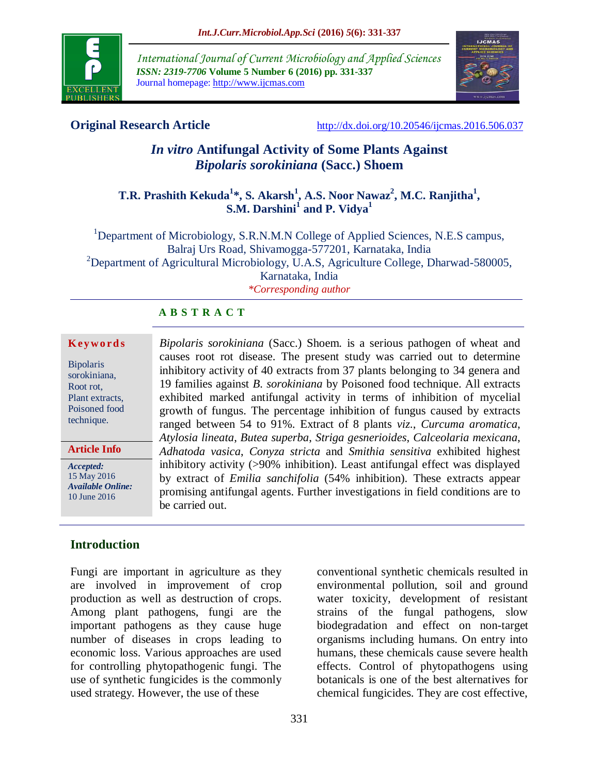

*International Journal of Current Microbiology and Applied Sciences ISSN: 2319-7706* **Volume 5 Number 6 (2016) pp. 331-337** Journal homepage: http://www.ijcmas.com



**Original Research Article** [http://dx.doi.org/10.20546/ijcmas.2016.506.037](http://dx.doi.org/10.20546/ijcmas.2016.506.036)

# *In vitro* **Antifungal Activity of Some Plants Against**  *Bipolaris sorokiniana* **(Sacc.) Shoem**

## **T.R. Prashith Kekuda<sup>1</sup> \*, S. Akarsh<sup>1</sup> , A.S. Noor Nawaz<sup>2</sup> , M.C. Ranjitha<sup>1</sup> ,**   $\mathbf{S.M.}$   $\mathbf{Darshini}^1$  and  $\mathbf{P.}$   $\mathbf{Vidya}^1$

<sup>1</sup>Department of Microbiology, S.R.N.M.N College of Applied Sciences, N.E.S campus, Balraj Urs Road, Shivamogga-577201, Karnataka, India <sup>2</sup>Department of Agricultural Microbiology, U.A.S, Agriculture College, Dharwad-580005, Karnataka, India *\*Corresponding author*

### **A B S T R A C T**

#### **K ey w o rd s**

Bipolaris sorokiniana, Root rot, Plant extracts, Poisoned food technique.

**Article Info**

*Accepted:*  15 May 2016 *Available Online:* 10 June 2016

*Bipolaris sorokiniana* (Sacc.) Shoem. is a serious pathogen of wheat and causes root rot disease. The present study was carried out to determine inhibitory activity of 40 extracts from 37 plants belonging to 34 genera and 19 families against *B. sorokiniana* by Poisoned food technique. All extracts exhibited marked antifungal activity in terms of inhibition of mycelial growth of fungus. The percentage inhibition of fungus caused by extracts ranged between 54 to 91%. Extract of 8 plants *viz*., *Curcuma aromatica*, *Atylosia lineata*, *Butea superba*, *Striga gesnerioides*, *Calceolaria mexicana*, *Adhatoda vasica*, *Conyza stricta* and *Smithia sensitiva* exhibited highest inhibitory activity (>90% inhibition). Least antifungal effect was displayed by extract of *Emilia sanchifolia* (54% inhibition). These extracts appear promising antifungal agents. Further investigations in field conditions are to be carried out.

## **Introduction**

Fungi are important in agriculture as they are involved in improvement of crop production as well as destruction of crops. Among plant pathogens, fungi are the important pathogens as they cause huge number of diseases in crops leading to economic loss. Various approaches are used for controlling phytopathogenic fungi. The use of synthetic fungicides is the commonly used strategy. However, the use of these

conventional synthetic chemicals resulted in environmental pollution, soil and ground water toxicity, development of resistant strains of the fungal pathogens, slow biodegradation and effect on non-target organisms including humans. On entry into humans, these chemicals cause severe health effects. Control of phytopathogens using botanicals is one of the best alternatives for chemical fungicides. They are cost effective,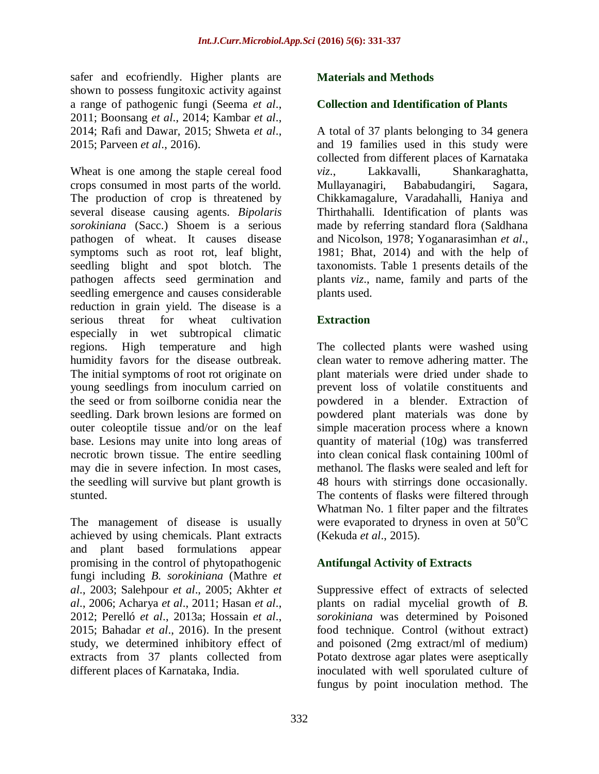safer and ecofriendly. Higher plants are shown to possess fungitoxic activity against a range of pathogenic fungi (Seema *et al*., 2011; Boonsang *et al*., 2014; Kambar *et al*., 2014; Rafi and Dawar, 2015; Shweta *et al*., 2015; Parveen *et al*., 2016).

Wheat is one among the staple cereal food crops consumed in most parts of the world. The production of crop is threatened by several disease causing agents. *Bipolaris sorokiniana* (Sacc.) Shoem is a serious pathogen of wheat. It causes disease symptoms such as root rot, leaf blight, seedling blight and spot blotch. The pathogen affects seed germination and seedling emergence and causes considerable reduction in grain yield. The disease is a serious threat for wheat cultivation especially in wet subtropical climatic regions. High temperature and high humidity favors for the disease outbreak. The initial symptoms of root rot originate on young seedlings from inoculum carried on the seed or from soilborne conidia near the seedling. Dark brown lesions are formed on outer coleoptile tissue and/or on the leaf base. Lesions may unite into long areas of necrotic brown tissue. The entire seedling may die in severe infection. In most cases, the seedling will survive but plant growth is stunted.

The management of disease is usually achieved by using chemicals. Plant extracts and plant based formulations appear promising in the control of phytopathogenic fungi including *B. sorokiniana* (Mathre *et al*., 2003; Salehpour *et al*., 2005; Akhter *et al*., 2006; Acharya *et al*., 2011; Hasan *et al*., 2012; Perelló *et al*., 2013a; Hossain *et al*., 2015; Bahadar *et al*., 2016). In the present study, we determined inhibitory effect of extracts from 37 plants collected from different places of Karnataka, India.

#### **Materials and Methods**

#### **Collection and Identification of Plants**

A total of 37 plants belonging to 34 genera and 19 families used in this study were collected from different places of Karnataka *viz*., Lakkavalli, Shankaraghatta, Mullayanagiri, Bababudangiri, Sagara, Chikkamagalure, Varadahalli, Haniya and Thirthahalli. Identification of plants was made by referring standard flora (Saldhana and Nicolson, 1978; Yoganarasimhan *et al*., 1981; Bhat, 2014) and with the help of taxonomists. Table 1 presents details of the plants *viz*., name, family and parts of the plants used.

#### **Extraction**

The collected plants were washed using clean water to remove adhering matter. The plant materials were dried under shade to prevent loss of volatile constituents and powdered in a blender. Extraction of powdered plant materials was done by simple maceration process where a known quantity of material (10g) was transferred into clean conical flask containing 100ml of methanol. The flasks were sealed and left for 48 hours with stirrings done occasionally. The contents of flasks were filtered through Whatman No. 1 filter paper and the filtrates were evaporated to dryness in oven at  $50^{\circ}$ C (Kekuda *et al*., 2015).

#### **Antifungal Activity of Extracts**

Suppressive effect of extracts of selected plants on radial mycelial growth of *B. sorokiniana* was determined by Poisoned food technique. Control (without extract) and poisoned (2mg extract/ml of medium) Potato dextrose agar plates were aseptically inoculated with well sporulated culture of fungus by point inoculation method. The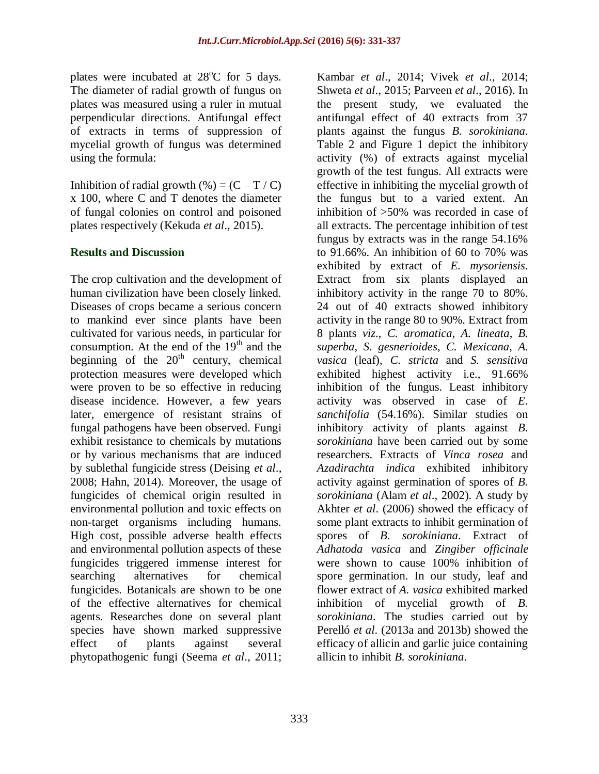plates were incubated at  $28^{\circ}$ C for 5 days. The diameter of radial growth of fungus on plates was measured using a ruler in mutual perpendicular directions. Antifungal effect of extracts in terms of suppression of mycelial growth of fungus was determined using the formula:

Inhibition of radial growth  $(\%)=(C-T/C)$ x 100, where C and T denotes the diameter of fungal colonies on control and poisoned plates respectively (Kekuda *et al*., 2015).

### **Results and Discussion**

The crop cultivation and the development of human civilization have been closely linked. Diseases of crops became a serious concern to mankind ever since plants have been cultivated for various needs, in particular for consumption. At the end of the  $19<sup>th</sup>$  and the beginning of the  $20<sup>th</sup>$  century, chemical protection measures were developed which were proven to be so effective in reducing disease incidence. However, a few years later, emergence of resistant strains of fungal pathogens have been observed. Fungi exhibit resistance to chemicals by mutations or by various mechanisms that are induced by sublethal fungicide stress (Deising *et al*., 2008; Hahn, 2014). Moreover, the usage of fungicides of chemical origin resulted in environmental pollution and toxic effects on non-target organisms including humans. High cost, possible adverse health effects and environmental pollution aspects of these fungicides triggered immense interest for searching alternatives for chemical fungicides. Botanicals are shown to be one of the effective alternatives for chemical agents. Researches done on several plant species have shown marked suppressive effect of plants against several phytopathogenic fungi (Seema *et al*., 2011;

Kambar *et al*., 2014; Vivek *et al*., 2014; Shweta *et al*., 2015; Parveen *et al*., 2016). In the present study, we evaluated the antifungal effect of 40 extracts from 37 plants against the fungus *B. sorokiniana*. Table 2 and Figure 1 depict the inhibitory activity (%) of extracts against mycelial growth of the test fungus. All extracts were effective in inhibiting the mycelial growth of the fungus but to a varied extent. An inhibition of >50% was recorded in case of all extracts. The percentage inhibition of test fungus by extracts was in the range 54.16% to 91.66%. An inhibition of 60 to 70% was exhibited by extract of *E. mysoriensis*. Extract from six plants displayed an inhibitory activity in the range 70 to 80%. 24 out of 40 extracts showed inhibitory activity in the range 80 to 90%. Extract from 8 plants *viz*., *C. aromatica*, *A. lineata*, *B. superba*, *S. gesnerioides*, *C. Mexicana*, *A. vasica* (leaf), *C. stricta* and *S. sensitiva* exhibited highest activity i.e., 91.66% inhibition of the fungus. Least inhibitory activity was observed in case of *E. sanchifolia* (54.16%). Similar studies on inhibitory activity of plants against *B. sorokiniana* have been carried out by some researchers. Extracts of *Vinca rosea* and *Azadirachta indica* exhibited inhibitory activity against germination of spores of *B. sorokiniana* (Alam *et al*., 2002). A study by Akhter *et al*. (2006) showed the efficacy of some plant extracts to inhibit germination of spores of *B. sorokiniana*. Extract of *Adhatoda vasica* and *Zingiber officinale* were shown to cause 100% inhibition of spore germination. In our study, leaf and flower extract of *A. vasica* exhibited marked inhibition of mycelial growth of *B. sorokiniana*. The studies carried out by Perelló *et al*. (2013a and 2013b) showed the efficacy of allicin and garlic juice containing allicin to inhibit *B. sorokiniana*.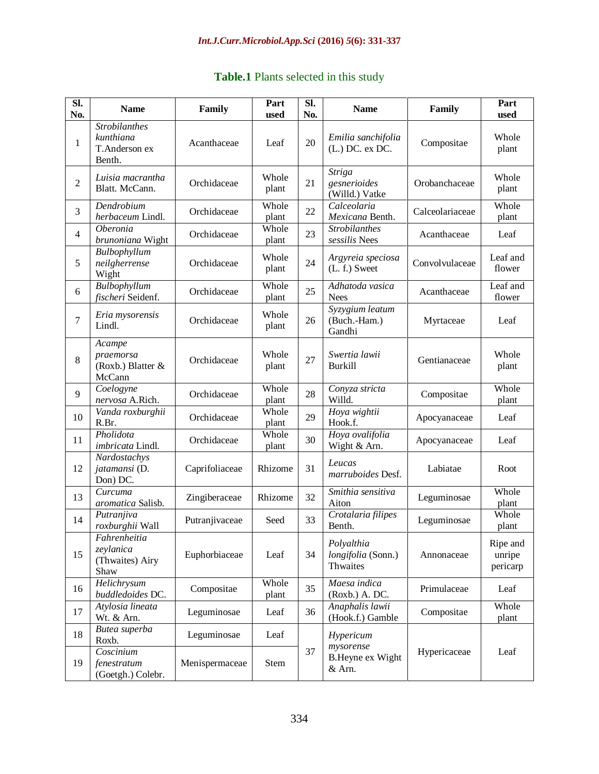|  | Table.1 Plants selected in this study |  |  |
|--|---------------------------------------|--|--|
|  |                                       |  |  |

| SI.<br>No.     | <b>Name</b>                                                  | Family         | Part<br>used   | SI.<br>No. | <b>Name</b>                                     | Family          | Part<br>used                   |
|----------------|--------------------------------------------------------------|----------------|----------------|------------|-------------------------------------------------|-----------------|--------------------------------|
| $\mathbf{1}$   | <b>Strobilanthes</b><br>kunthiana<br>T.Anderson ex<br>Benth. | Acanthaceae    | Leaf           | 20         | Emilia sanchifolia<br>(L.) DC. ex DC.           | Compositae      | Whole<br>plant                 |
| $\overline{2}$ | Luisia macrantha<br>Blatt. McCann.                           | Orchidaceae    | Whole<br>plant | 21         | <b>Striga</b><br>gesnerioides<br>(Willd.) Vatke | Orobanchaceae   | Whole<br>plant                 |
| 3              | Dendrobium<br>herbaceum Lindl.                               | Orchidaceae    | Whole<br>plant | 22         | Calceolaria<br>Mexicana Benth.                  | Calceolariaceae | Whole<br>plant                 |
| $\overline{4}$ | <i>Oberonia</i><br>brunoniana Wight                          | Orchidaceae    | Whole<br>plant | 23         | <b>Strobilanthes</b><br>sessilis Nees           | Acanthaceae     | Leaf                           |
| 5              | Bulbophyllum<br>neilgherrense<br>Wight                       | Orchidaceae    | Whole<br>plant | 24         | Argyreia speciosa<br>$(L. f.)$ Sweet            | Convolvulaceae  | Leaf and<br>flower             |
| 6              | Bulbophyllum<br>fischeri Seidenf.                            | Orchidaceae    | Whole<br>plant | 25         | Adhatoda vasica<br><b>Nees</b>                  | Acanthaceae     | Leaf and<br>flower             |
| 7              | Eria mysorensis<br>Lindl.                                    | Orchidaceae    | Whole<br>plant | 26         | Syzygium leatum<br>(Buch.-Ham.)<br>Gandhi       | Myrtaceae       | Leaf                           |
| 8              | Acampe<br>praemorsa<br>(Roxb.) Blatter $&$<br>McCann         | Orchidaceae    | Whole<br>plant | 27         | Swertia lawii<br><b>Burkill</b>                 | Gentianaceae    | Whole<br>plant                 |
| 9              | Coelogyne<br>nervosa A.Rich.                                 | Orchidaceae    | Whole<br>plant | 28         | Conyza stricta<br>Willd.                        | Compositae      | Whole<br>plant                 |
| 10             | Vanda roxburghii<br>R.Br.                                    | Orchidaceae    | Whole<br>plant | 29         | Hoya wightii<br>Hook.f.                         | Apocyanaceae    | Leaf                           |
| 11             | Pholidota<br>imbricata Lindl.                                | Orchidaceae    | Whole<br>plant | 30         | Hoya ovalifolia<br>Wight & Arn.                 | Apocyanaceae    | Leaf                           |
| 12             | Nardostachys<br>jatamansi (D.<br>Don) DC.                    | Caprifoliaceae | Rhizome        | 31         | Leucas<br>marruboides Desf.                     | Labiatae        | Root                           |
| 13             | Curcuma<br>aromatica Salisb.                                 | Zingiberaceae  | Rhizome        | 32         | Smithia sensitiva<br>Aiton                      | Leguminosae     | Whole<br>plant                 |
| 14             | Putranjiva<br>roxburghii Wall                                | Putranjivaceae | Seed           | 33         | Crotalaria filipes<br>Benth.                    | Leguminosae     | Whole<br>plant                 |
| 15             | Fahrenheitia<br>zeylanica<br>(Thwaites) Airy<br>Shaw         | Euphorbiaceae  | Leaf           | 34         | Polyalthia<br>longifolia (Sonn.)<br>Thwaites    | Annonaceae      | Ripe and<br>unripe<br>pericarp |
| 16             | Helichrysum<br>buddledoides DC.                              | Compositae     | Whole<br>plant | 35         | Maesa indica<br>(Roxb.) A. DC.                  | Primulaceae     | Leaf                           |
| 17             | Atylosia lineata<br>Wt. & Arn.                               | Leguminosae    | Leaf           | 36         | Anaphalis lawii<br>(Hook.f.) Gamble             | Compositae      | Whole<br>plant                 |
| 18             | Butea superba<br>Roxb.                                       | Leguminosae    | Leaf           |            | Hypericum<br>mysorense                          |                 |                                |
| 19             | Coscinium<br>fenestratum<br>(Goetgh.) Colebr.                | Menispermaceae | <b>Stem</b>    | 37         | <b>B.Heyne ex Wight</b><br>& Arn.               | Hypericaceae    | Leaf                           |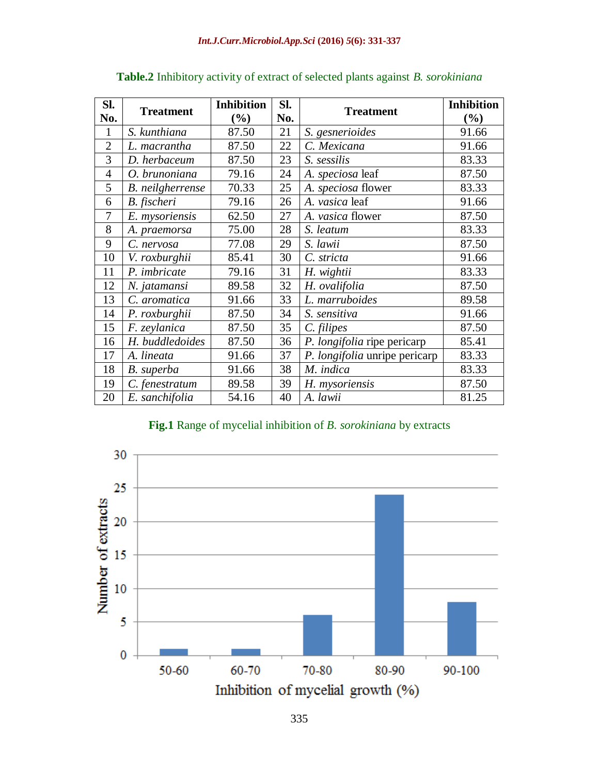| SI.            |                  | <b>Inhibition</b> | SI. |                               | <b>Inhibition</b> |
|----------------|------------------|-------------------|-----|-------------------------------|-------------------|
| No.            | <b>Treatment</b> | $(\%)$            | No. | <b>Treatment</b>              | (%)               |
| $\mathbf{1}$   | S. kunthiana     | 87.50             | 21  | S. gesnerioides               | 91.66             |
| $\overline{2}$ | L. macrantha     | 87.50             | 22  | C. Mexicana                   | 91.66             |
| 3              | D. herbaceum     | 87.50             | 23  | S. sessilis                   | 83.33             |
| $\overline{4}$ | O. brunoniana    | 79.16             | 24  | A. speciosa leaf              | 87.50             |
| 5              | B. neilgherrense | 70.33             | 25  | A. speciosa flower            | 83.33             |
| 6              | B. fischeri      | 79.16             | 26  | A. vasica leaf                | 91.66             |
| $\overline{7}$ | E. mysoriensis   | 62.50             | 27  | A. vasica flower              | 87.50             |
| 8              | A. praemorsa     | 75.00             | 28  | S. leatum                     | 83.33             |
| 9              | C. nervosa       | 77.08             | 29  | S. lawii                      | 87.50             |
| 10             | V. roxburghii    | 85.41             | 30  | C. stricta                    | 91.66             |
| 11             | P. imbricate     | 79.16             | 31  | H. wightii                    | 83.33             |
| 12             | N. jatamansi     | 89.58             | 32  | H. ovalifolia                 | 87.50             |
| 13             | C. aromatica     | 91.66             | 33  | L. marruboides                | 89.58             |
| 14             | P. roxburghii    | 87.50             | 34  | S. sensitiva                  | 91.66             |
| 15             | F. zeylanica     | 87.50             | 35  | C. filipes                    | 87.50             |
| 16             | H. buddledoides  | 87.50             | 36  | P. longifolia ripe pericarp   | 85.41             |
| 17             | A. lineata       | 91.66             | 37  | P. longifolia unripe pericarp | 83.33             |
| 18             | B. superba       | 91.66             | 38  | M. indica                     | 83.33             |
| 19             | C. fenestratum   | 89.58             | 39  | H. mysoriensis                | 87.50             |
| 20             | E. sanchifolia   | 54.16             | 40  | A. lawii                      | 81.25             |

## **Table.2** Inhibitory activity of extract of selected plants against *B. sorokiniana*

#### **Fig.1** Range of mycelial inhibition of *B. sorokiniana* by extracts

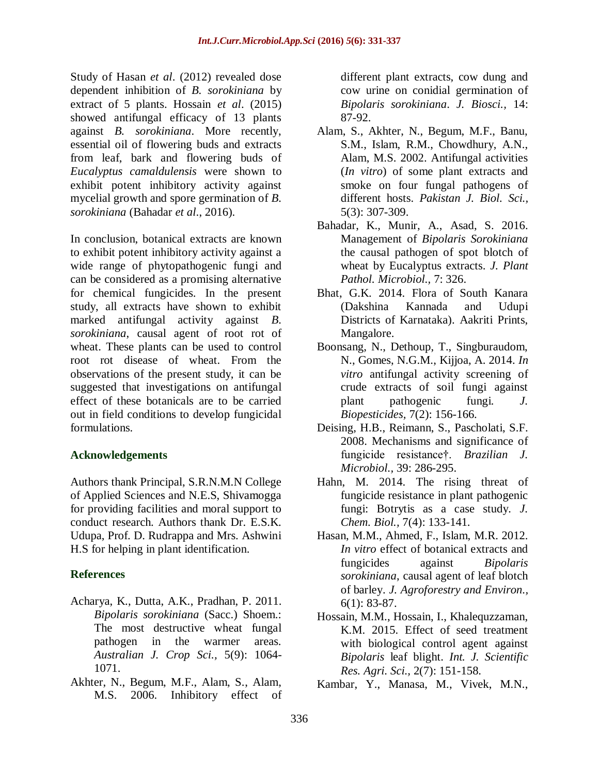Study of Hasan *et al*. (2012) revealed dose dependent inhibition of *B. sorokiniana* by extract of 5 plants. Hossain *et al*. (2015) showed antifungal efficacy of 13 plants against *B. sorokiniana*. More recently, essential oil of flowering buds and extracts from leaf, bark and flowering buds of *Eucalyptus camaldulensis* were shown to exhibit potent inhibitory activity against mycelial growth and spore germination of *B. sorokiniana* (Bahadar *et al*., 2016).

In conclusion, botanical extracts are known to exhibit potent inhibitory activity against a wide range of phytopathogenic fungi and can be considered as a promising alternative for chemical fungicides. In the present study, all extracts have shown to exhibit marked antifungal activity against *B. sorokiniana*, causal agent of root rot of wheat. These plants can be used to control root rot disease of wheat. From the observations of the present study, it can be suggested that investigations on antifungal effect of these botanicals are to be carried out in field conditions to develop fungicidal formulations.

## **Acknowledgements**

Authors thank Principal, S.R.N.M.N College of Applied Sciences and N.E.S, Shivamogga for providing facilities and moral support to conduct research. Authors thank Dr. E.S.K. Udupa, Prof. D. Rudrappa and Mrs. Ashwini H.S for helping in plant identification.

## **References**

- Acharya, K., Dutta, A.K., Pradhan, P. 2011. *Bipolaris sorokiniana* (Sacc.) Shoem.: The most destructive wheat fungal pathogen in the warmer areas. *Australian J. Crop Sci.,* 5(9): 1064- 1071.
- Akhter, N., Begum, M.F., Alam, S., Alam, M.S. 2006. Inhibitory effect of

different plant extracts, cow dung and cow urine on conidial germination of *Bipolaris sorokiniana*. *J. Biosci.,* 14: 87-92.

- Alam, S., Akhter, N., Begum, M.F., Banu, S.M., Islam, R.M., Chowdhury, A.N., Alam, M.S. 2002. Antifungal activities (*In vitro*) of some plant extracts and smoke on four fungal pathogens of different hosts. *Pakistan J. Biol. Sci.,* 5(3): 307-309.
- Bahadar, K., Munir, A., Asad, S. 2016. Management of *Bipolaris Sorokiniana* the causal pathogen of spot blotch of wheat by Eucalyptus extracts. *J. Plant Pathol. Microbiol.,* 7: 326.
- Bhat, G.K. 2014. Flora of South Kanara (Dakshina Kannada and Udupi Districts of Karnataka). Aakriti Prints, Mangalore.
- Boonsang, N., Dethoup, T., Singburaudom, N., Gomes, N.G.M., Kijjoa, A. 2014. *In vitro* antifungal activity screening of crude extracts of soil fungi against plant pathogenic fungi*. J. Biopesticides,* 7(2): 156-166.
- Deising, H.B., Reimann, S., Pascholati, S.F. 2008. Mechanisms and significance of fungicide resistance†. *Brazilian J. Microbiol.,* 39: 286-295.
- Hahn, M. 2014. The rising threat of fungicide resistance in plant pathogenic fungi: Botrytis as a case study*. J. Chem. Biol.,* 7(4): 133-141.
- Hasan, M.M., Ahmed, F., Islam, M.R. 2012. *In vitro* effect of botanical extracts and fungicides against *Bipolaris sorokiniana*, causal agent of leaf blotch of barley. *J. Agroforestry and Environ.,* 6(1): 83-87.
- Hossain, M.M., Hossain, I., Khalequzzaman, K.M. 2015. Effect of seed treatment with biological control agent against *Bipolaris* leaf blight. *Int. J. Scientific Res. Agri. Sci.,* 2(7): 151-158.
- Kambar, Y., Manasa, M., Vivek, M.N.,